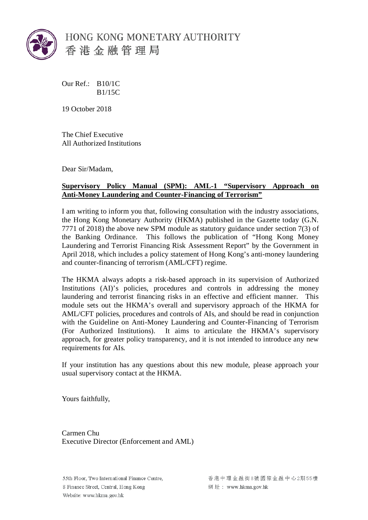

HONG KONG MONETARY AUTHORITY 香港金融管理局

Our Ref.: B10/1C B1/15C

19 October 2018

The Chief Executive All Authorized Institutions

Dear Sir/Madam,

## **Supervisory Policy Manual (SPM): AML-1 "Supervisory Approach on Anti-Money Laundering and Counter-Financing of Terrorism"**

I am writing to inform you that, following consultation with the industry associations, the Hong Kong Monetary Authority (HKMA) published in the Gazette today (G.N. 7771 of 2018) the above new SPM module as statutory guidance under section 7(3) of the Banking Ordinance. This follows the publication of "Hong Kong Money Laundering and Terrorist Financing Risk Assessment Report" by the Government in April 2018, which includes a policy statement of Hong Kong's anti-money laundering and counter-financing of terrorism (AML/CFT) regime.

The HKMA always adopts a risk-based approach in its supervision of Authorized Institutions (AI)'s policies, procedures and controls in addressing the money laundering and terrorist financing risks in an effective and efficient manner. This module sets out the HKMA's overall and supervisory approach of the HKMA for AML/CFT policies, procedures and controls of AIs, and should be read in conjunction with the Guideline on Anti-Money Laundering and Counter-Financing of Terrorism (For Authorized Institutions). It aims to articulate the HKMA's supervisory approach, for greater policy transparency, and it is not intended to introduce any new requirements for AIs.

If your institution has any questions about this new module, please approach your usual supervisory contact at the HKMA.

Yours faithfully,

Carmen Chu Executive Director (Enforcement and AML)